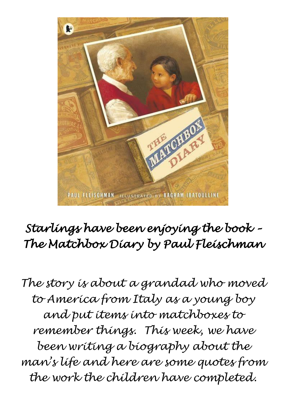

# *Starlings have been enjoying the book – The Matchbox Diary by Paul Fleischman*

*The story is about a grandad who moved to America from Italy as a young boy and put items into matchboxes to remember things. This week, we have been writing a biography about the man's life and here are some quotes from the work the children have completed.*